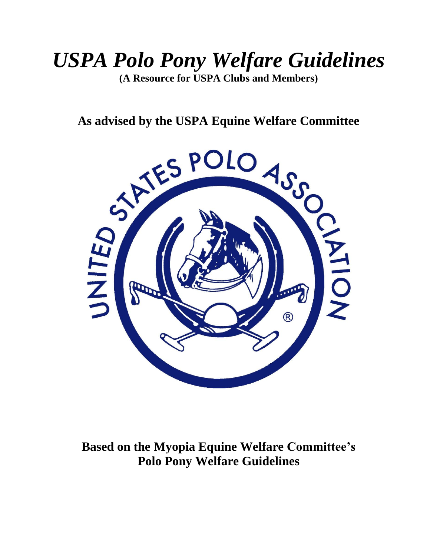# *USPA Polo Pony Welfare Guidelines*

**(A Resource for USPA Clubs and Members)**



**Based on the Myopia Equine Welfare Committee's Polo Pony Welfare Guidelines**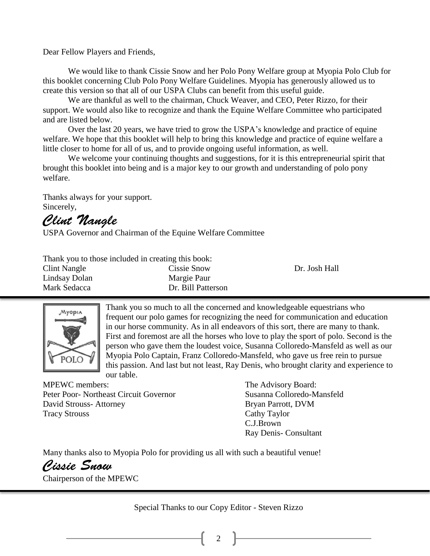Dear Fellow Players and Friends,

We would like to thank Cissie Snow and her Polo Pony Welfare group at Myopia Polo Club for this booklet concerning Club Polo Pony Welfare Guidelines. Myopia has generously allowed us to create this version so that all of our USPA Clubs can benefit from this useful guide.

We are thankful as well to the chairman, Chuck Weaver, and CEO, Peter Rizzo, for their support. We would also like to recognize and thank the Equine Welfare Committee who participated and are listed below.

Over the last 20 years, we have tried to grow the USPA's knowledge and practice of equine welfare. We hope that this booklet will help to bring this knowledge and practice of equine welfare a little closer to home for all of us, and to provide ongoing useful information, as well.

We welcome your continuing thoughts and suggestions, for it is this entrepreneurial spirit that brought this booklet into being and is a major key to our growth and understanding of polo pony welfare.

Thanks always for your support. Sincerely,

Clint Nangle

USPA Governor and Chairman of the Equine Welfare Committee

| Thank you to those included in creating this book: |                    |               |  |  |  |
|----------------------------------------------------|--------------------|---------------|--|--|--|
| Clint Nangle                                       | Cissie Snow        | Dr. Josh Hall |  |  |  |
| Lindsay Dolan                                      | Margie Paur        |               |  |  |  |
| Mark Sedacca                                       | Dr. Bill Patterson |               |  |  |  |



Thank you so much to all the concerned and knowledgeable equestrians who frequent our polo games for recognizing the need for communication and education in our horse community. As in all endeavors of this sort, there are many to thank. First and foremost are all the horses who love to play the sport of polo. Second is the person who gave them the loudest voice, Susanna Colloredo-Mansfeld as well as our Myopia Polo Captain, Franz Colloredo-Mansfeld, who gave us free rein to pursue this passion. And last but not least, Ray Denis, who brought clarity and experience to our table.

MPEWC members: The Advisory Board: Peter Poor- Northeast Circuit Governor Susanna Colloredo-Mansfeld David Strouss- Attorney Bryan Parrott, DVM Tracy Strouss Cathy Taylor

C.J.Brown Ray Denis- Consultant

Many thanks also to Myopia Polo for providing us all with such a beautiful venue!

Cissie Snow

Chairperson of the MPEWC

Special Thanks to our Copy Editor - Steven Rizzo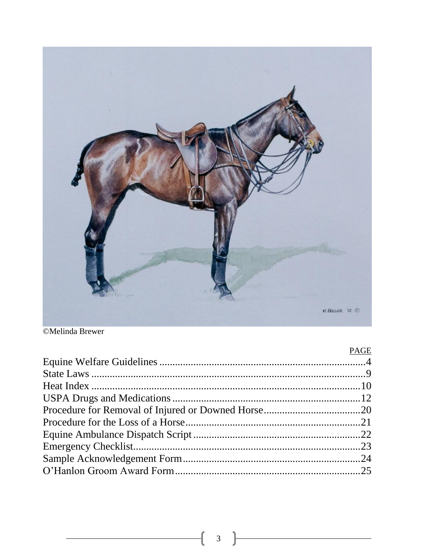

### ©Melinda Brewer

| PAGE |
|------|
|      |
|      |
|      |
|      |
|      |
|      |
|      |
|      |
|      |
|      |
|      |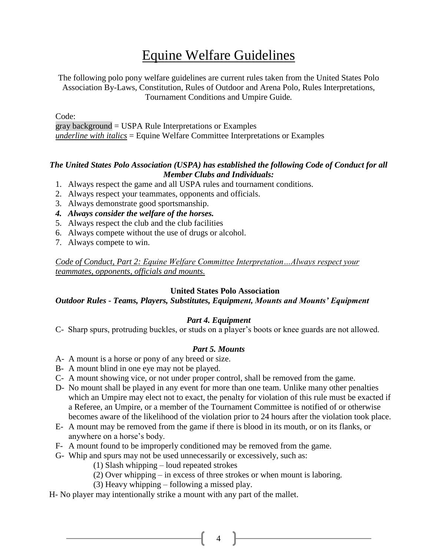### Equine Welfare Guidelines

The following polo pony welfare guidelines are current rules taken from the United States Polo Association By-Laws, Constitution, Rules of Outdoor and Arena Polo, Rules Interpretations, Tournament Conditions and Umpire Guide*.*

Code:

gray background = USPA Rule Interpretations or Examples *underline with italics* = Equine Welfare Committee Interpretations or Examples

#### *The United States Polo Association (USPA) has established the following Code of Conduct for all Member Clubs and Individuals:*

- 1. Always respect the game and all USPA rules and tournament conditions.
- 2. Always respect your teammates, opponents and officials.
- 3. Always demonstrate good sportsmanship.
- *4. Always consider the welfare of the horses.*
- 5. Always respect the club and the club facilities
- 6. Always compete without the use of drugs or alcohol.
- 7. Always compete to win.

*Code of Conduct, Part 2: Equine Welfare Committee Interpretation…Always respect your teammates, opponents, officials and mounts.*

#### **United States Polo Association**

#### *Outdoor Rules - Teams, Players, Substitutes, Equipment, Mounts and Mounts' Equipment*

#### *Part 4. Equipment*

C- Sharp spurs, protruding buckles, or studs on a player's boots or knee guards are not allowed.

#### *Part 5. Mounts*

- A- A mount is a horse or pony of any breed or size.
- B- A mount blind in one eye may not be played.
- C- A mount showing vice, or not under proper control, shall be removed from the game.
- D- No mount shall be played in any event for more than one team. Unlike many other penalties which an Umpire may elect not to exact, the penalty for violation of this rule must be exacted if a Referee, an Umpire, or a member of the Tournament Committee is notified of or otherwise becomes aware of the likelihood of the violation prior to 24 hours after the violation took place.
- E- A mount may be removed from the game if there is blood in its mouth, or on its flanks, or anywhere on a horse's body.
- F- A mount found to be improperly conditioned may be removed from the game.
- G- Whip and spurs may not be used unnecessarily or excessively, such as:
	- (1) Slash whipping loud repeated strokes
	- (2) Over whipping in excess of three strokes or when mount is laboring.
	- (3) Heavy whipping following a missed play.
- H- No player may intentionally strike a mount with any part of the mallet.

 $\begin{array}{ccc} & 4 \end{array}$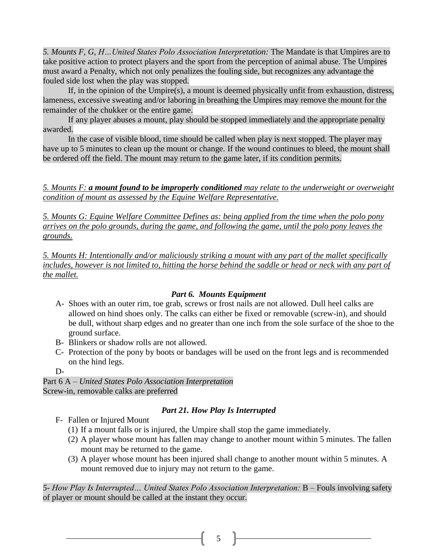*5. Mounts F, G, H…United States Polo Association Interpretation:* The Mandate is that Umpires are to take positive action to protect players and the sport from the perception of animal abuse. The Umpires must award a Penalty, which not only penalizes the fouling side, but recognizes any advantage the fouled side lost when the play was stopped.

If, in the opinion of the Umpire(s), a mount is deemed physically unfit from exhaustion, distress, lameness, excessive sweating and/or laboring in breathing the Umpires may remove the mount for the remainder of the chukker or the entire game.

If any player abuses a mount, play should be stopped immediately and the appropriate penalty awarded.

In the case of visible blood, time should be called when play is next stopped. The player may have up to 5 minutes to clean up the mount or change. If the wound continues to bleed, the mount shall be ordered off the field. The mount may return to the game later, if its condition permits.

*5. Mounts F: a mount found to be improperly conditioned may relate to the underweight or overweight condition of mount as assessed by the Equine Welfare Representative.* 

*5. Mounts G: Equine Welfare Committee Defines as: being applied from the time when the polo pony arrives on the polo grounds, during the game, and following the game, until the polo pony leaves the grounds.*

*5. Mounts H: Intentionally and/or maliciously striking a mount with any part of the mallet specifically includes, however is not limited to, hitting the horse behind the saddle or head or neck with any part of the mallet.*

#### *Part 6. Mounts Equipment*

- A- Shoes with an outer rim, toe grab, screws or frost nails are not allowed. Dull heel calks are allowed on hind shoes only. The calks can either be fixed or removable (screw-in), and should be dull, without sharp edges and no greater than one inch from the sole surface of the shoe to the ground surface.
- B- Blinkers or shadow rolls are not allowed.
- C- Protection of the pony by boots or bandages will be used on the front legs and is recommended on the hind legs.
- D-

Part 6 A – *United States Polo Association Interpretation* Screw-in, removable calks are preferred

#### *Part 21. How Play Is Interrupted*

- F- Fallen or Injured Mount
	- (1) If a mount falls or is injured, the Umpire shall stop the game immediately.
	- (2) A player whose mount has fallen may change to another mount within 5 minutes. The fallen mount may be returned to the game.
	- (3) A player whose mount has been injured shall change to another mount within 5 minutes. A mount removed due to injury may not return to the game.

*5- How Play Is Interrupted… United States Polo Association Interpretation:* B – Fouls involving safety of player or mount should be called at the instant they occur.

 $5 \quad \parallel$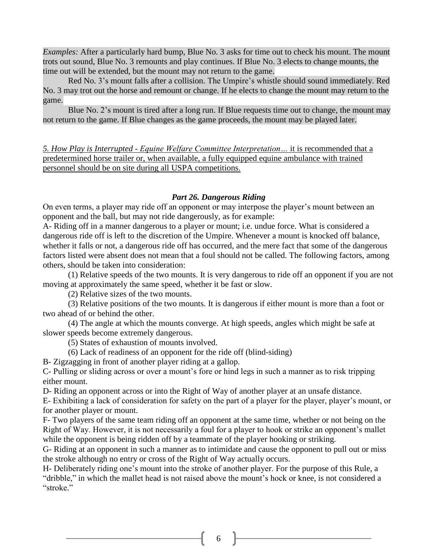*Examples:* After a particularly hard bump, Blue No. 3 asks for time out to check his mount. The mount trots out sound, Blue No. 3 remounts and play continues. If Blue No. 3 elects to change mounts, the time out will be extended, but the mount may not return to the game.

Red No. 3's mount falls after a collision. The Umpire's whistle should sound immediately. Red No. 3 may trot out the horse and remount or change. If he elects to change the mount may return to the game.

Blue No. 2's mount is tired after a long run. If Blue requests time out to change, the mount may not return to the game. If Blue changes as the game proceeds, the mount may be played later.

*5. How Play is Interrupted - Equine Welfare Committee Interpretation…* it is recommended that a predetermined horse trailer or, when available, a fully equipped equine ambulance with trained personnel should be on site during all USPA competitions.

#### *Part 26. Dangerous Riding*

On even terms, a player may ride off an opponent or may interpose the player's mount between an opponent and the ball, but may not ride dangerously, as for example:

A- Riding off in a manner dangerous to a player or mount; i.e. undue force. What is considered a dangerous ride off is left to the discretion of the Umpire. Whenever a mount is knocked off balance, whether it falls or not, a dangerous ride off has occurred, and the mere fact that some of the dangerous factors listed were absent does not mean that a foul should not be called. The following factors, among others, should be taken into consideration:

(1) Relative speeds of the two mounts. It is very dangerous to ride off an opponent if you are not moving at approximately the same speed, whether it be fast or slow.

(2) Relative sizes of the two mounts.

(3) Relative positions of the two mounts. It is dangerous if either mount is more than a foot or two ahead of or behind the other.

(4) The angle at which the mounts converge. At high speeds, angles which might be safe at slower speeds become extremely dangerous.

(5) States of exhaustion of mounts involved.

(6) Lack of readiness of an opponent for the ride off (blind-siding)

B- Zigzagging in front of another player riding at a gallop.

C- Pulling or sliding across or over a mount's fore or hind legs in such a manner as to risk tripping either mount.

D- Riding an opponent across or into the Right of Way of another player at an unsafe distance.

E- Exhibiting a lack of consideration for safety on the part of a player for the player, player's mount, or for another player or mount.

F- Two players of the same team riding off an opponent at the same time, whether or not being on the Right of Way. However, it is not necessarily a foul for a player to hook or strike an opponent's mallet while the opponent is being ridden off by a teammate of the player hooking or striking.

G- Riding at an opponent in such a manner as to intimidate and cause the opponent to pull out or miss the stroke although no entry or cross of the Right of Way actually occurs.

H- Deliberately riding one's mount into the stroke of another player. For the purpose of this Rule, a "dribble," in which the mallet head is not raised above the mount's hock or knee, is not considered a "stroke."

6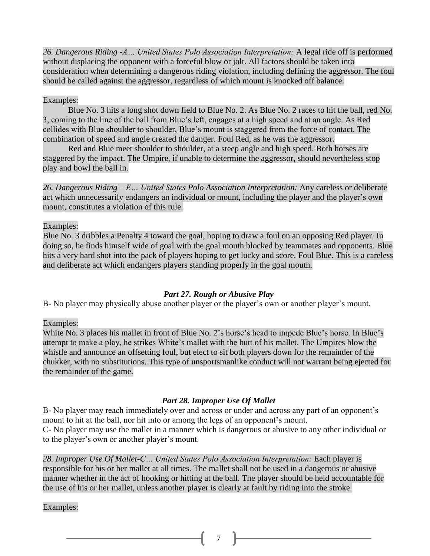*26. Dangerous Riding -A… United States Polo Association Interpretation:* A legal ride off is performed without displacing the opponent with a forceful blow or jolt. All factors should be taken into consideration when determining a dangerous riding violation, including defining the aggressor. The foul should be called against the aggressor, regardless of which mount is knocked off balance.

#### Examples:

Blue No. 3 hits a long shot down field to Blue No. 2. As Blue No. 2 races to hit the ball, red No. 3, coming to the line of the ball from Blue's left, engages at a high speed and at an angle. As Red collides with Blue shoulder to shoulder, Blue's mount is staggered from the force of contact. The combination of speed and angle created the danger. Foul Red, as he was the aggressor.

Red and Blue meet shoulder to shoulder, at a steep angle and high speed. Both horses are staggered by the impact. The Umpire, if unable to determine the aggressor, should nevertheless stop play and bowl the ball in.

*26. Dangerous Riding – E… United States Polo Association Interpretation:* Any careless or deliberate act which unnecessarily endangers an individual or mount, including the player and the player's own mount, constitutes a violation of this rule.

Examples:

Blue No. 3 dribbles a Penalty 4 toward the goal, hoping to draw a foul on an opposing Red player. In doing so, he finds himself wide of goal with the goal mouth blocked by teammates and opponents. Blue hits a very hard shot into the pack of players hoping to get lucky and score. Foul Blue. This is a careless and deliberate act which endangers players standing properly in the goal mouth.

#### *Part 27. Rough or Abusive Play*

B- No player may physically abuse another player or the player's own or another player's mount.

Examples:

White No. 3 places his mallet in front of Blue No. 2's horse's head to impede Blue's horse. In Blue's attempt to make a play, he strikes White's mallet with the butt of his mallet. The Umpires blow the whistle and announce an offsetting foul, but elect to sit both players down for the remainder of the chukker, with no substitutions. This type of unsportsmanlike conduct will not warrant being ejected for the remainder of the game.

#### *Part 28. Improper Use Of Mallet*

B- No player may reach immediately over and across or under and across any part of an opponent's mount to hit at the ball, nor hit into or among the legs of an opponent's mount. C- No player may use the mallet in a manner which is dangerous or abusive to any other individual or to the player's own or another player's mount.

*28. Improper Use Of Mallet-C… United States Polo Association Interpretation:* Each player is responsible for his or her mallet at all times. The mallet shall not be used in a dangerous or abusive manner whether in the act of hooking or hitting at the ball. The player should be held accountable for the use of his or her mallet, unless another player is clearly at fault by riding into the stroke.

Examples: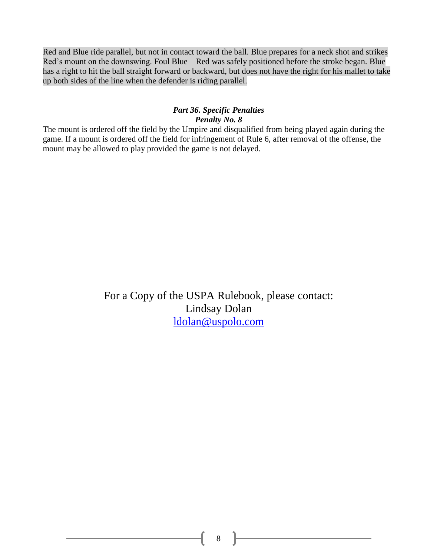Red and Blue ride parallel, but not in contact toward the ball. Blue prepares for a neck shot and strikes Red's mount on the downswing. Foul Blue – Red was safely positioned before the stroke began. Blue has a right to hit the ball straight forward or backward, but does not have the right for his mallet to take up both sides of the line when the defender is riding parallel.

#### *Part 36. Specific Penalties Penalty No. 8*

The mount is ordered off the field by the Umpire and disqualified from being played again during the game. If a mount is ordered off the field for infringement of Rule 6, after removal of the offense, the mount may be allowed to play provided the game is not delayed.

> For a Copy of the USPA Rulebook, please contact: Lindsay Dolan [ldolan@uspolo.com](mailto:ldolan@uspolo.com)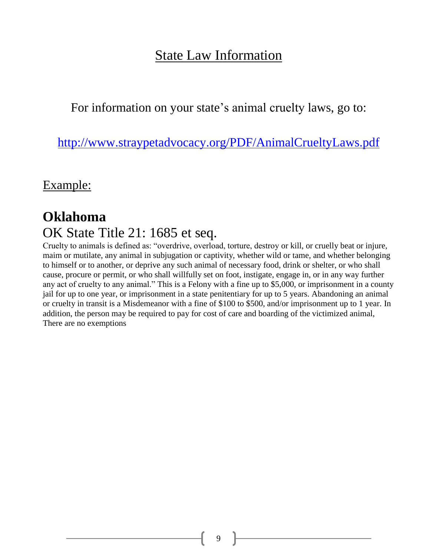### State Law Information

For information on your state's animal cruelty laws, go to:

<http://www.straypetadvocacy.org/PDF/AnimalCrueltyLaws.pdf>

Example:

### **Oklahoma** OK State Title 21: 1685 et seq.

Cruelty to animals is defined as: "overdrive, overload, torture, destroy or kill, or cruelly beat or injure, maim or mutilate, any animal in subjugation or captivity, whether wild or tame, and whether belonging to himself or to another, or deprive any such animal of necessary food, drink or shelter, or who shall cause, procure or permit, or who shall willfully set on foot, instigate, engage in, or in any way further any act of cruelty to any animal." This is a Felony with a fine up to \$5,000, or imprisonment in a county jail for up to one year, or imprisonment in a state penitentiary for up to 5 years. Abandoning an animal or cruelty in transit is a Misdemeanor with a fine of \$100 to \$500, and/or imprisonment up to 1 year. In addition, the person may be required to pay for cost of care and boarding of the victimized animal, There are no exemptions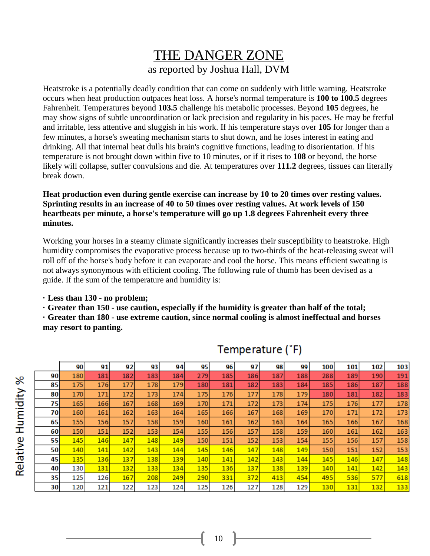### THE DANGER ZONE as reported by Joshua Hall, DVM

Heatstroke is a potentially deadly condition that can come on suddenly with little warning. Heatstroke occurs when heat production outpaces heat loss. A horse's normal temperature is **100 to 100.5** degrees Fahrenheit. Temperatures beyond **103.5** challenge his metabolic processes. Beyond **105** degrees, he may show signs of subtle uncoordination or lack precision and regularity in his paces. He may be fretful and irritable, less attentive and sluggish in his work. If his temperature stays over **105** for longer than a few minutes, a horse's sweating mechanism starts to shut down, and he loses interest in eating and drinking. All that internal heat dulls his brain's cognitive functions, leading to disorientation. If his temperature is not brought down within five to 10 minutes, or if it rises to **108** or beyond, the horse likely will collapse, suffer convulsions and die. At temperatures over **111.2** degrees, tissues can literally break down.

**Heat production even during gentle exercise can increase by 10 to 20 times over resting values. Sprinting results in an increase of 40 to 50 times over resting values. At work levels of 150 heartbeats per minute, a horse's temperature will go up 1.8 degrees Fahrenheit every three minutes.**

Working your horses in a steamy climate significantly increases their susceptibility to heatstroke. High humidity compromises the evaporative process because up to two-thirds of the heat-releasing sweat will roll off of the horse's body before it can evaporate and cool the horse. This means efficient sweating is not always synonymous with efficient cooling. The following rule of thumb has been devised as a guide. If the sum of the temperature and humidity is:

**· Less than 130 - no problem;**

**· Greater than 150 - use caution, especially if the humidity is greater than half of the total;**

**· Greater than 180 - use extreme caution, since normal cooling is almost ineffectual and horses may resort to panting.**

|    | 90  | 91  | 92  | 93  | 94  | 95  | 96  | 97  | 98  | 99  | 100 | 101 | 102 | 103 |
|----|-----|-----|-----|-----|-----|-----|-----|-----|-----|-----|-----|-----|-----|-----|
| 90 | 180 | 181 | 182 | 183 | 184 | 279 | 185 | 186 | 187 | 188 | 288 | 189 | 190 | 191 |
| 85 | 175 | 176 | 177 | 178 | 179 | 180 | 181 | 182 | 183 | 184 | 185 | 186 | 187 | 188 |
| 80 | 170 | 171 | 172 | 173 | 174 | 175 | 176 | 177 | 178 | 179 | 180 | 181 | 182 | 183 |
| 75 | 165 | 166 | 167 | 168 | 169 | 170 | 171 | 172 | 173 | 174 | 175 | 176 | 177 | 178 |
| 70 | 160 | 161 | 162 | 163 | 164 | 165 | 166 | 167 | 168 | 169 | 170 | 171 | 172 | 173 |
| 65 | 155 | 156 | 157 | 158 | 159 | 160 | 161 | 162 | 163 | 164 | 165 | 166 | 167 | 168 |
| 60 | 150 | 151 | 152 | 153 | 154 | 155 | 156 | 157 | 158 | 159 | 160 | 161 | 162 | 163 |
| 55 | 145 | 146 | 147 | 148 | 149 | 150 | 151 | 152 | 153 | 154 | 155 | 156 | 157 | 158 |
| 50 | 140 | 141 | 142 | 143 | 144 | 145 | 146 | 147 | 148 | 149 | 150 | 151 | 152 | 153 |
| 45 | 135 | 136 | 137 | 138 | 139 | 140 | 141 | 142 | 143 | 144 | 145 | 146 | 147 | 148 |
| 40 | 130 | 131 | 132 | 133 | 134 | 135 | 136 | 137 | 138 | 139 | 140 | 141 | 142 | 143 |
| 35 | 125 | 126 | 167 | 208 | 249 | 290 | 331 | 372 | 413 | 454 | 495 | 536 | 577 | 618 |
| 30 | 120 | 121 | 122 | 123 | 124 | 125 | 126 | 127 | 128 | 129 | 130 | 131 | 132 | 133 |

### Temperature (°F)

Relative Humidity %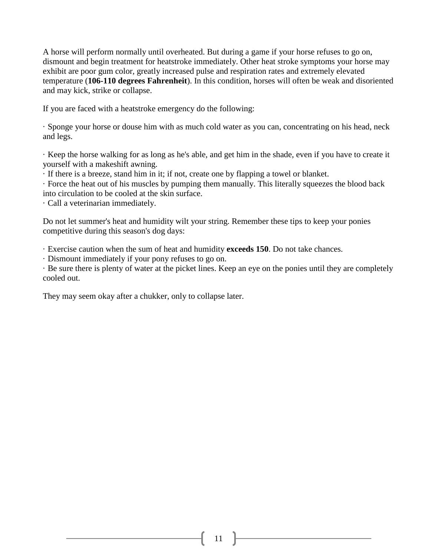A horse will perform normally until overheated. But during a game if your horse refuses to go on, dismount and begin treatment for heatstroke immediately. Other heat stroke symptoms your horse may exhibit are poor gum color, greatly increased pulse and respiration rates and extremely elevated temperature (**106-110 degrees Fahrenheit**). In this condition, horses will often be weak and disoriented and may kick, strike or collapse.

If you are faced with a heatstroke emergency do the following:

· Sponge your horse or douse him with as much cold water as you can, concentrating on his head, neck and legs.

· Keep the horse walking for as long as he's able, and get him in the shade, even if you have to create it yourself with a makeshift awning.

· If there is a breeze, stand him in it; if not, create one by flapping a towel or blanket.

· Force the heat out of his muscles by pumping them manually. This literally squeezes the blood back into circulation to be cooled at the skin surface.

· Call a veterinarian immediately.

Do not let summer's heat and humidity wilt your string. Remember these tips to keep your ponies competitive during this season's dog days:

· Exercise caution when the sum of heat and humidity **exceeds 150**. Do not take chances.

· Dismount immediately if your pony refuses to go on.

· Be sure there is plenty of water at the picket lines. Keep an eye on the ponies until they are completely cooled out.

They may seem okay after a chukker, only to collapse later.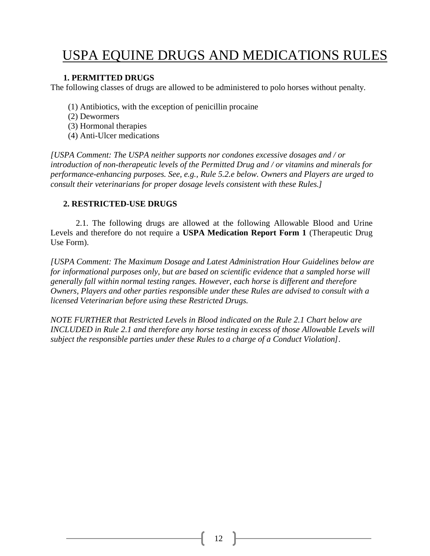### USPA EQUINE DRUGS AND MEDICATIONS RULES

#### **1. PERMITTED DRUGS**

The following classes of drugs are allowed to be administered to polo horses without penalty.

- (1) Antibiotics, with the exception of penicillin procaine
- (2) Dewormers
- (3) Hormonal therapies
- (4) Anti-Ulcer medications

*[USPA Comment: The USPA neither supports nor condones excessive dosages and / or introduction of non-therapeutic levels of the Permitted Drug and / or vitamins and minerals for performance-enhancing purposes. See, e.g., Rule 5.2.e below. Owners and Players are urged to consult their veterinarians for proper dosage levels consistent with these Rules.]*

#### **2. RESTRICTED-USE DRUGS**

2.1. The following drugs are allowed at the following Allowable Blood and Urine Levels and therefore do not require a **USPA Medication Report Form 1** (Therapeutic Drug Use Form).

*[USPA Comment: The Maximum Dosage and Latest Administration Hour Guidelines below are for informational purposes only, but are based on scientific evidence that a sampled horse will generally fall within normal testing ranges. However, each horse is different and therefore Owners, Players and other parties responsible under these Rules are advised to consult with a licensed Veterinarian before using these Restricted Drugs.*

*NOTE FURTHER that Restricted Levels in Blood indicated on the Rule 2.1 Chart below are INCLUDED in Rule 2.1 and therefore any horse testing in excess of those Allowable Levels will subject the responsible parties under these Rules to a charge of a Conduct Violation].*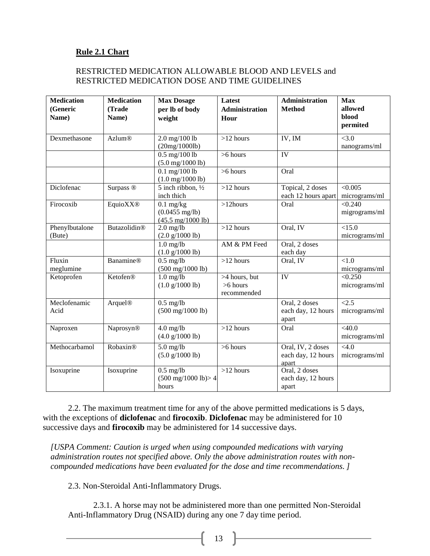#### **Rule 2.1 Chart**

#### RESTRICTED MEDICATION ALLOWABLE BLOOD AND LEVELS and RESTRICTED MEDICATION DOSE AND TIME GUIDELINES

| <b>Medication</b><br>(Generic<br>Name) | <b>Medication</b><br>(Trade<br>Name) | <b>Max Dosage</b><br>per lb of body<br>weight                                  | Latest<br><b>Administration</b><br>Hour    | Administration<br><b>Method</b>                  | <b>Max</b><br>allowed<br>blood<br>permited |
|----------------------------------------|--------------------------------------|--------------------------------------------------------------------------------|--------------------------------------------|--------------------------------------------------|--------------------------------------------|
| Dexmethasone                           | <b>Azlum®</b>                        | $2.0 \,\mathrm{mg}/100 \,\mathrm{lb}$<br>(20mg/1000lb)                         | $>12$ hours                                | IV, IM                                           | < 3.0<br>nanograms/ml                      |
|                                        |                                      | $0.5$ mg/100 lb<br>$(5.0 \text{ mg}/1000 \text{ lb})$                          | $>6$ hours                                 | IV                                               |                                            |
|                                        |                                      | $0.1$ mg/100 lb<br>$(1.0 \text{ mg}/1000 \text{ lb})$                          | $>6$ hours                                 | Oral                                             |                                            |
| Diclofenac                             | Surpass ®                            | 5 inch ribbon, 1/2<br>inch thich                                               | $>12$ hours                                | Topical, 2 doses<br>each 12 hours apart          | < 0.005<br>micrograms/ml                   |
| Firocoxib                              | <b>EquioXX®</b>                      | $0.1$ mg/kg<br>$(0.0455 \text{ mg/lb})$<br>$(45.5 \text{ mg}/1000 \text{ lb})$ | $>12$ hours                                | Oral                                             | < 0.240<br>migrograms/ml                   |
| Phenylbutalone<br>(Bute)               | Butazolidin®                         | $2.0$ mg/lb<br>$(2.0 \frac{g}{1000}$ lb)                                       | $>12$ hours                                | Oral, IV                                         | $\overline{<}15.0$<br>micrograms/ml        |
|                                        |                                      | $1.0$ mg/lb<br>$(1.0 \frac{g}{1000} lb)$                                       | AM & PM Feed                               | Oral, 2 doses<br>each day                        |                                            |
| Fluxin<br>meglumine                    | <b>Banamine®</b>                     | $0.5$ mg/lb<br>$(500 \text{ mg}/1000 \text{ lb})$                              | $>12$ hours                                | Oral, IV                                         | < 1.0<br>micrograms/ml                     |
| Ketoprofen                             | Ketofen®                             | $1.0 \text{ mg}$ /lb<br>$(1.0 \frac{g}{1000}$ lb)                              | >4 hours, but<br>$>6$ hours<br>recommended | IV                                               | < 0.250<br>micrograms/ml                   |
| Meclofenamic<br>Acid                   | Arquel <sup>®</sup>                  | $0.5$ mg/lb<br>$(500 \text{ mg}/1000 \text{ lb})$                              |                                            | Oral, 2 doses<br>each day, 12 hours<br>apart     | $\overline{2.5}$<br>micrograms/ml          |
| Naproxen                               | Naprosyn®                            | $4.0$ mg/lb<br>(4.0 g/1000 lb)                                                 | $>12$ hours                                | Oral                                             | <40.0<br>micrograms/ml                     |
| Methocarbamol                          | Robaxin®                             | $5.0$ mg/lb<br>(5.0 g/1000 lb)                                                 | >6 hours                                   | Oral, IV, 2 doses<br>each day, 12 hours<br>apart | < 4.0<br>micrograms/ml                     |
| Isoxuprine                             | Isoxuprine                           | $0.5$ mg/lb<br>$(500 \text{ mg}/1000 \text{ lb}) > 4$<br>hours                 | $>12$ hours                                | Oral, 2 doses<br>each day, 12 hours<br>apart     |                                            |

2.2. The maximum treatment time for any of the above permitted medications is 5 days, with the exceptions of **diclofenac** and **firocoxib**. **Diclofenac** may be administered for 10 successive days and **firocoxib** may be administered for 14 successive days.

*[USPA Comment: Caution is urged when using compounded medications with varying administration routes not specified above. Only the above administration routes with noncompounded medications have been evaluated for the dose and time recommendations. ]*

2.3. Non-Steroidal Anti-Inflammatory Drugs.

2.3.1. A horse may not be administered more than one permitted Non-Steroidal Anti-Inflammatory Drug (NSAID) during any one 7 day time period.

 $\begin{bmatrix} 13 \end{bmatrix}$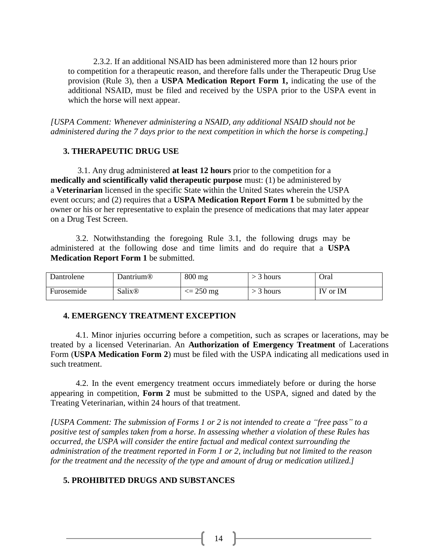2.3.2. If an additional NSAID has been administered more than 12 hours prior to competition for a therapeutic reason, and therefore falls under the Therapeutic Drug Use provision (Rule 3), then a **USPA Medication Report Form 1,** indicating the use of the additional NSAID, must be filed and received by the USPA prior to the USPA event in which the horse will next appear.

*[USPA Comment: Whenever administering a NSAID, any additional NSAID should not be administered during the 7 days prior to the next competition in which the horse is competing.]*

#### **3. THERAPEUTIC DRUG USE**

3.1. Any drug administered **at least 12 hours** prior to the competition for a **medically and scientifically valid therapeutic purpose** must: (1) be administered by a **Veterinarian** licensed in the specific State within the United States wherein the USPA event occurs; and (2) requires that a **USPA Medication Report Form 1** be submitted by the owner or his or her representative to explain the presence of medications that may later appear on a Drug Test Screen.

3.2. Notwithstanding the foregoing Rule 3.1, the following drugs may be administered at the following dose and time limits and do require that a **USPA Medication Report Form 1** be submitted.

| Dantrolene | Dantrium®          | $800$ mg         | hours | Oral     |
|------------|--------------------|------------------|-------|----------|
| Furosemide | Salix <sup>®</sup> | $\approx$ 250 mg | hours | IV or IM |

#### **4. EMERGENCY TREATMENT EXCEPTION**

4.1. Minor injuries occurring before a competition, such as scrapes or lacerations, may be treated by a licensed Veterinarian. An **Authorization of Emergency Treatment** of Lacerations Form (**USPA Medication Form 2**) must be filed with the USPA indicating all medications used in such treatment.

4.2. In the event emergency treatment occurs immediately before or during the horse appearing in competition, **Form 2** must be submitted to the USPA, signed and dated by the Treating Veterinarian, within 24 hours of that treatment.

*[USPA Comment: The submission of Forms 1 or 2 is not intended to create a "free pass" to a positive test of samples taken from a horse. In assessing whether a violation of these Rules has occurred, the USPA will consider the entire factual and medical context surrounding the administration of the treatment reported in Form 1 or 2, including but not limited to the reason for the treatment and the necessity of the type and amount of drug or medication utilized.]*

#### **5. PROHIBITED DRUGS AND SUBSTANCES**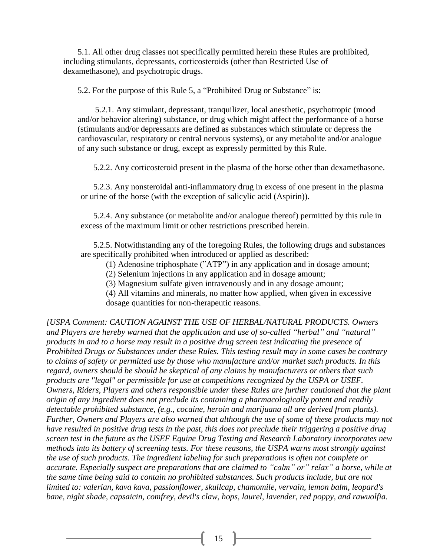5.1. All other drug classes not specifically permitted herein these Rules are prohibited, including stimulants, depressants, corticosteroids (other than Restricted Use of dexamethasone), and psychotropic drugs.

5.2. For the purpose of this Rule 5, a "Prohibited Drug or Substance" is:

5.2.1. Any stimulant, depressant, tranquilizer, local anesthetic, psychotropic (mood and/or behavior altering) substance, or drug which might affect the performance of a horse (stimulants and/or depressants are defined as substances which stimulate or depress the cardiovascular, respiratory or central nervous systems), or any metabolite and/or analogue of any such substance or drug, except as expressly permitted by this Rule.

5.2.2. Any corticosteroid present in the plasma of the horse other than dexamethasone.

5.2.3. Any nonsteroidal anti-inflammatory drug in excess of one present in the plasma or urine of the horse (with the exception of salicylic acid (Aspirin)).

5.2.4. Any substance (or metabolite and/or analogue thereof) permitted by this rule in excess of the maximum limit or other restrictions prescribed herein.

5.2.5. Notwithstanding any of the foregoing Rules, the following drugs and substances are specifically prohibited when introduced or applied as described:

(1) Adenosine triphosphate ("ATP") in any application and in dosage amount;

(2) Selenium injections in any application and in dosage amount;

(3) Magnesium sulfate given intravenously and in any dosage amount;

(4) All vitamins and minerals, no matter how applied, when given in excessive dosage quantities for non-therapeutic reasons.

*[USPA Comment: CAUTION AGAINST THE USE OF HERBAL/NATURAL PRODUCTS. Owners and Players are hereby warned that the application and use of so-called "herbal" and "natural" products in and to a horse may result in a positive drug screen test indicating the presence of Prohibited Drugs or Substances under these Rules. This testing result may in some cases be contrary to claims of safety or permitted use by those who manufacture and/or market such products. In this regard, owners should be should be skeptical of any claims by manufacturers or others that such products are "legal" or permissible for use at competitions recognized by the USPA or USEF. Owners, Riders, Players and others responsible under these Rules are further cautioned that the plant origin of any ingredient does not preclude its containing a pharmacologically potent and readily detectable prohibited substance, (e.g., cocaine, heroin and marijuana all are derived from plants). Further, Owners and Players are also warned that although the use of some of these products may not have resulted in positive drug tests in the past, this does not preclude their triggering a positive drug screen test in the future as the USEF Equine Drug Testing and Research Laboratory incorporates new methods into its battery of screening tests. For these reasons, the USPA warns most strongly against the use of such products. The ingredient labeling for such preparations is often not complete or accurate. Especially suspect are preparations that are claimed to "calm" or" relax" a horse, while at the same time being said to contain no prohibited substances. Such products include, but are not limited to: valerian, kava kava, passionflower, skullcap, chamomile, vervain, lemon balm, leopard's bane, night shade, capsaicin, comfrey, devil's claw, hops, laurel, lavender, red poppy, and rawuolfia.*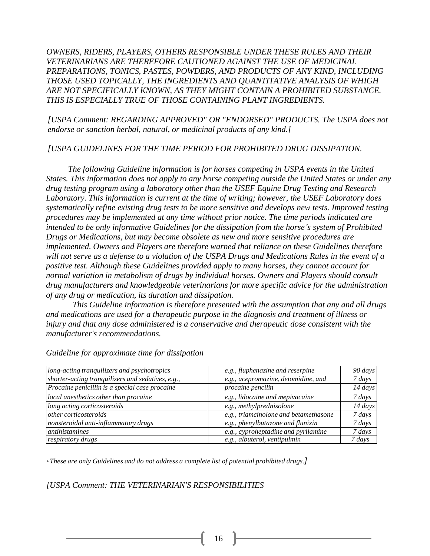*OWNERS, RIDERS, PLAYERS, OTHERS RESPONSIBLE UNDER THESE RULES AND THEIR VETERINARIANS ARE THEREFORE CAUTIONED AGAINST THE USE OF MEDICINAL PREPARATIONS, TONICS, PASTES, POWDERS, AND PRODUCTS OF ANY KIND, INCLUDING THOSE USED TOPICALLY, THE INGREDIENTS AND QUANTITATIVE ANALYSIS OF WHIGH ARE NOT SPECIFICALLY KNOWN, AS THEY MIGHT CONTAIN A PROHIBITED SUBSTANCE. THIS IS ESPECIALLY TRUE OF THOSE CONTAINING PLANT INGREDIENTS.*

*[USPA Comment: REGARDING APPROVED" OR "ENDORSED" PRODUCTS. The USPA does not endorse or sanction herbal, natural, or medicinal products of any kind.]*

*[USPA GUIDELINES FOR THE TIME PERIOD FOR PROHIBITED DRUG DISSIPATION.*

*The following Guideline information is for horses competing in USPA events in the United States. This information does not apply to any horse competing outside the United States or under any drug testing program using a laboratory other than the USEF Equine Drug Testing and Research Laboratory. This information is current at the time of writing; however, the USEF Laboratory does systematically refine existing drug tests to be more sensitive and develops new tests. Improved testing procedures may be implemented at any time without prior notice. The time periods indicated are intended to be only informative Guidelines for the dissipation from the horse's system of Prohibited Drugs or Medications, but may become obsolete as new and more sensitive procedures are implemented. Owners and Players are therefore warned that reliance on these Guidelines therefore will not serve as a defense to a violation of the USPA Drugs and Medications Rules in the event of a positive test. Although these Guidelines provided apply to many horses, they cannot account for normal variation in metabolism of drugs by individual horses. Owners and Players should consult drug manufacturers and knowledgeable veterinarians for more specific advice for the administration of any drug or medication, its duration and dissipation.*

*This Guideline information is therefore presented with the assumption that any and all drugs and medications are used for a therapeutic purpose in the diagnosis and treatment of illness or injury and that any dose administered is a conservative and therapeutic dose consistent with the manufacturer's recommendations.*

| long-acting tranquilizers and psychotropics       | e.g., fluphenazine and reserpine      | 90 days     |
|---------------------------------------------------|---------------------------------------|-------------|
| shorter-acting tranquilizers and sedatives, e.g., | e.g., acepromazine, detomidine, and   | $7 \, days$ |
| Procaine penicillin is a special case procaine    | procaine pencilin                     | 14 days     |
| local anesthetics other than procaine             | e.g., lidocaine and mepivacaine       | 7 days      |
| long acting corticosteroids                       | e.g., methylprednisolone              | 14 days     |
| <i>other corticosteroids</i>                      | e.g., triamcinolone and betamethasone | $7 \, days$ |
| nonsteroidal anti-inflammatory drugs              | e.g., phenylbutazone and flunixin     | $7 \, days$ |
| <i>antihistamines</i>                             | e.g., cyproheptadine and pyrilamine   | 7 days      |
| respiratory drugs                                 | e.g., albuterol, ventipulmin          | 7 days      |

*Guideline for approximate time for dissipation*

*\* These are only Guidelines and do not address a complete list of potential prohibited drugs.]*

*[USPA Comment: THE VETERINARIAN'S RESPONSIBILITIES*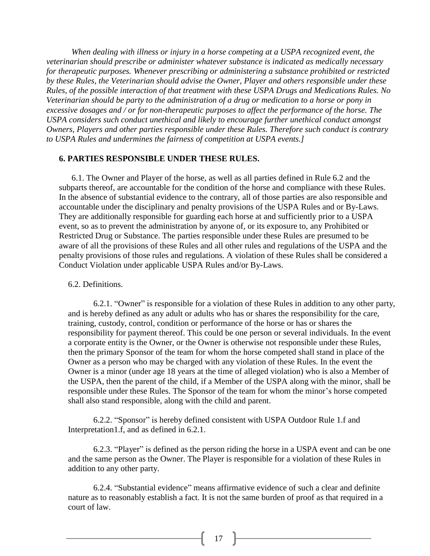*When dealing with illness or injury in a horse competing at a USPA recognized event, the veterinarian should prescribe or administer whatever substance is indicated as medically necessary for therapeutic purposes. Whenever prescribing or administering a substance prohibited or restricted by these Rules, the Veterinarian should advise the Owner, Player and others responsible under these Rules, of the possible interaction of that treatment with these USPA Drugs and Medications Rules. No Veterinarian should be party to the administration of a drug or medication to a horse or pony in excessive dosages and / or for non-therapeutic purposes to affect the performance of the horse. The USPA considers such conduct unethical and likely to encourage further unethical conduct amongst Owners, Players and other parties responsible under these Rules. Therefore such conduct is contrary to USPA Rules and undermines the fairness of competition at USPA events.]*

#### **6. PARTIES RESPONSIBLE UNDER THESE RULES.**

6.1. The Owner and Player of the horse, as well as all parties defined in Rule 6.2 and the subparts thereof, are accountable for the condition of the horse and compliance with these Rules. In the absence of substantial evidence to the contrary, all of those parties are also responsible and accountable under the disciplinary and penalty provisions of the USPA Rules and or By-Laws. They are additionally responsible for guarding each horse at and sufficiently prior to a USPA event, so as to prevent the administration by anyone of, or its exposure to, any Prohibited or Restricted Drug or Substance. The parties responsible under these Rules are presumed to be aware of all the provisions of these Rules and all other rules and regulations of the USPA and the penalty provisions of those rules and regulations. A violation of these Rules shall be considered a Conduct Violation under applicable USPA Rules and/or By-Laws.

#### 6.2. Definitions.

6.2.1. "Owner" is responsible for a violation of these Rules in addition to any other party, and is hereby defined as any adult or adults who has or shares the responsibility for the care, training, custody, control, condition or performance of the horse or has or shares the responsibility for payment thereof. This could be one person or several individuals. In the event a corporate entity is the Owner, or the Owner is otherwise not responsible under these Rules, then the primary Sponsor of the team for whom the horse competed shall stand in place of the Owner as a person who may be charged with any violation of these Rules. In the event the Owner is a minor (under age 18 years at the time of alleged violation) who is also a Member of the USPA, then the parent of the child, if a Member of the USPA along with the minor, shall be responsible under these Rules. The Sponsor of the team for whom the minor's horse competed shall also stand responsible, along with the child and parent.

6.2.2. "Sponsor" is hereby defined consistent with USPA Outdoor Rule 1.f and Interpretation1.f, and as defined in 6.2.1.

6.2.3. "Player" is defined as the person riding the horse in a USPA event and can be one and the same person as the Owner. The Player is responsible for a violation of these Rules in addition to any other party.

6.2.4. "Substantial evidence" means affirmative evidence of such a clear and definite nature as to reasonably establish a fact. It is not the same burden of proof as that required in a court of law.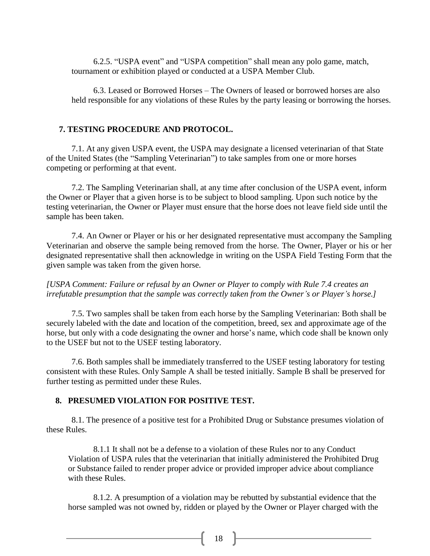6.2.5. "USPA event" and "USPA competition" shall mean any polo game, match, tournament or exhibition played or conducted at a USPA Member Club.

6.3. Leased or Borrowed Horses – The Owners of leased or borrowed horses are also held responsible for any violations of these Rules by the party leasing or borrowing the horses.

#### **7. TESTING PROCEDURE AND PROTOCOL.**

7.1. At any given USPA event, the USPA may designate a licensed veterinarian of that State of the United States (the "Sampling Veterinarian") to take samples from one or more horses competing or performing at that event.

7.2. The Sampling Veterinarian shall, at any time after conclusion of the USPA event, inform the Owner or Player that a given horse is to be subject to blood sampling. Upon such notice by the testing veterinarian, the Owner or Player must ensure that the horse does not leave field side until the sample has been taken.

7.4. An Owner or Player or his or her designated representative must accompany the Sampling Veterinarian and observe the sample being removed from the horse. The Owner, Player or his or her designated representative shall then acknowledge in writing on the USPA Field Testing Form that the given sample was taken from the given horse.

*[USPA Comment: Failure or refusal by an Owner or Player to comply with Rule 7.4 creates an irrefutable presumption that the sample was correctly taken from the Owner's or Player's horse.]*

7.5. Two samples shall be taken from each horse by the Sampling Veterinarian: Both shall be securely labeled with the date and location of the competition, breed, sex and approximate age of the horse, but only with a code designating the owner and horse's name, which code shall be known only to the USEF but not to the USEF testing laboratory.

7.6. Both samples shall be immediately transferred to the USEF testing laboratory for testing consistent with these Rules. Only Sample A shall be tested initially. Sample B shall be preserved for further testing as permitted under these Rules.

#### **8. PRESUMED VIOLATION FOR POSITIVE TEST.**

8.1. The presence of a positive test for a Prohibited Drug or Substance presumes violation of these Rules.

8.1.1 It shall not be a defense to a violation of these Rules nor to any Conduct Violation of USPA rules that the veterinarian that initially administered the Prohibited Drug or Substance failed to render proper advice or provided improper advice about compliance with these Rules.

8.1.2. A presumption of a violation may be rebutted by substantial evidence that the horse sampled was not owned by, ridden or played by the Owner or Player charged with the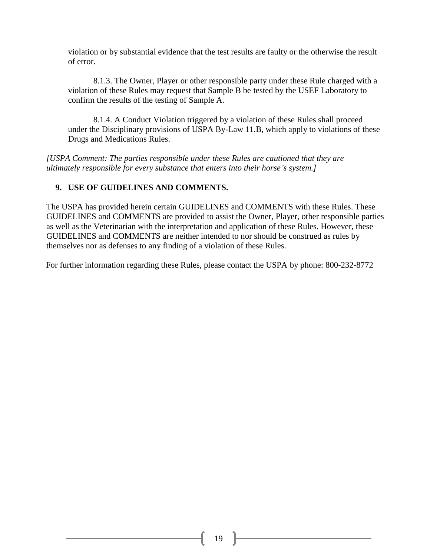violation or by substantial evidence that the test results are faulty or the otherwise the result of error.

8.1.3. The Owner, Player or other responsible party under these Rule charged with a violation of these Rules may request that Sample B be tested by the USEF Laboratory to confirm the results of the testing of Sample A.

8.1.4. A Conduct Violation triggered by a violation of these Rules shall proceed under the Disciplinary provisions of USPA By-Law 11.B, which apply to violations of these Drugs and Medications Rules.

*[USPA Comment: The parties responsible under these Rules are cautioned that they are ultimately responsible for every substance that enters into their horse's system.]*

#### **9. USE OF GUIDELINES AND COMMENTS.**

The USPA has provided herein certain GUIDELINES and COMMENTS with these Rules. These GUIDELINES and COMMENTS are provided to assist the Owner, Player, other responsible parties as well as the Veterinarian with the interpretation and application of these Rules. However, these GUIDELINES and COMMENTS are neither intended to nor should be construed as rules by themselves nor as defenses to any finding of a violation of these Rules.

For further information regarding these Rules, please contact the USPA by phone: 800-232-8772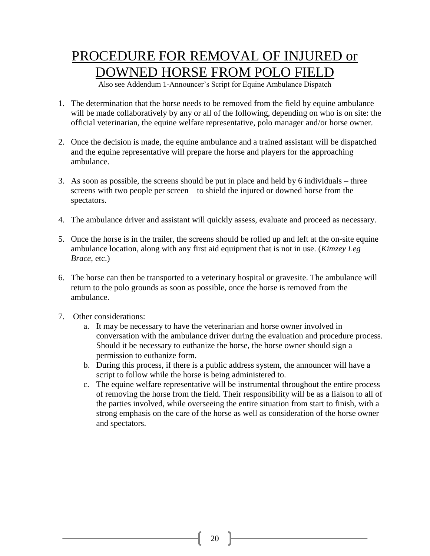### PROCEDURE FOR REMOVAL OF INJURED or DOWNED HORSE FROM POLO FIELD

Also see Addendum 1-Announcer's Script for Equine Ambulance Dispatch

- 1. The determination that the horse needs to be removed from the field by equine ambulance will be made collaboratively by any or all of the following, depending on who is on site: the official veterinarian, the equine welfare representative, polo manager and/or horse owner.
- 2. Once the decision is made, the equine ambulance and a trained assistant will be dispatched and the equine representative will prepare the horse and players for the approaching ambulance.
- 3. As soon as possible, the screens should be put in place and held by 6 individuals three screens with two people per screen – to shield the injured or downed horse from the spectators.
- 4. The ambulance driver and assistant will quickly assess, evaluate and proceed as necessary.
- 5. Once the horse is in the trailer, the screens should be rolled up and left at the on-site equine ambulance location, along with any first aid equipment that is not in use. (*Kimzey Leg Brace*, etc.)
- 6. The horse can then be transported to a veterinary hospital or gravesite. The ambulance will return to the polo grounds as soon as possible, once the horse is removed from the ambulance.
- 7. Other considerations:
	- a. It may be necessary to have the veterinarian and horse owner involved in conversation with the ambulance driver during the evaluation and procedure process. Should it be necessary to euthanize the horse, the horse owner should sign a permission to euthanize form.
	- b. During this process, if there is a public address system, the announcer will have a script to follow while the horse is being administered to.
	- c. The equine welfare representative will be instrumental throughout the entire process of removing the horse from the field. Their responsibility will be as a liaison to all of the parties involved, while overseeing the entire situation from start to finish, with a strong emphasis on the care of the horse as well as consideration of the horse owner and spectators.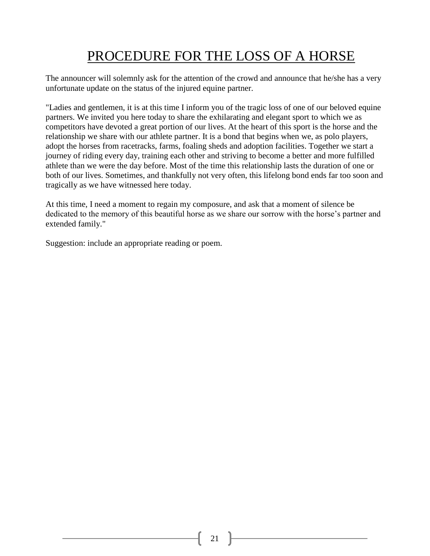## PROCEDURE FOR THE LOSS OF A HORSE

The announcer will solemnly ask for the attention of the crowd and announce that he/she has a very unfortunate update on the status of the injured equine partner.

"Ladies and gentlemen, it is at this time I inform you of the tragic loss of one of our beloved equine partners. We invited you here today to share the exhilarating and elegant sport to which we as competitors have devoted a great portion of our lives. At the heart of this sport is the horse and the relationship we share with our athlete partner. It is a bond that begins when we, as polo players, adopt the horses from racetracks, farms, foaling sheds and adoption facilities. Together we start a journey of riding every day, training each other and striving to become a better and more fulfilled athlete than we were the day before. Most of the time this relationship lasts the duration of one or both of our lives. Sometimes, and thankfully not very often, this lifelong bond ends far too soon and tragically as we have witnessed here today.

At this time, I need a moment to regain my composure, and ask that a moment of silence be dedicated to the memory of this beautiful horse as we share our sorrow with the horse's partner and extended family."

Suggestion: include an appropriate reading or poem.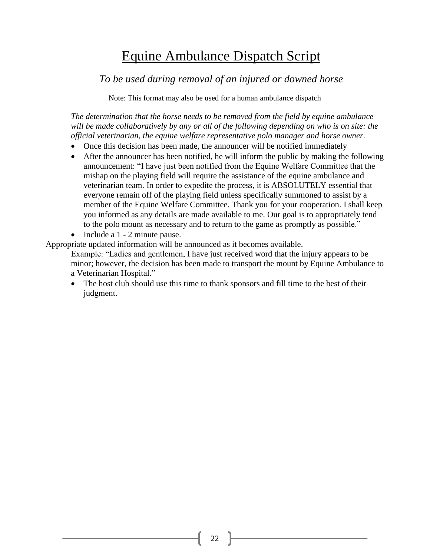### Equine Ambulance Dispatch Script

*To be used during removal of an injured or downed horse* 

Note: This format may also be used for a human ambulance dispatch

*The determination that the horse needs to be removed from the field by equine ambulance will be made collaboratively by any or all of the following depending on who is on site: the official veterinarian, the equine welfare representative polo manager and horse owner.*

- Once this decision has been made, the announcer will be notified immediately
- After the announcer has been notified, he will inform the public by making the following announcement: "I have just been notified from the Equine Welfare Committee that the mishap on the playing field will require the assistance of the equine ambulance and veterinarian team. In order to expedite the process, it is ABSOLUTELY essential that everyone remain off of the playing field unless specifically summoned to assist by a member of the Equine Welfare Committee. Thank you for your cooperation. I shall keep you informed as any details are made available to me. Our goal is to appropriately tend to the polo mount as necessary and to return to the game as promptly as possible."
- Include a 1 2 minute pause.

Appropriate updated information will be announced as it becomes available.

Example: "Ladies and gentlemen, I have just received word that the injury appears to be minor; however, the decision has been made to transport the mount by Equine Ambulance to a Veterinarian Hospital."

 The host club should use this time to thank sponsors and fill time to the best of their judgment.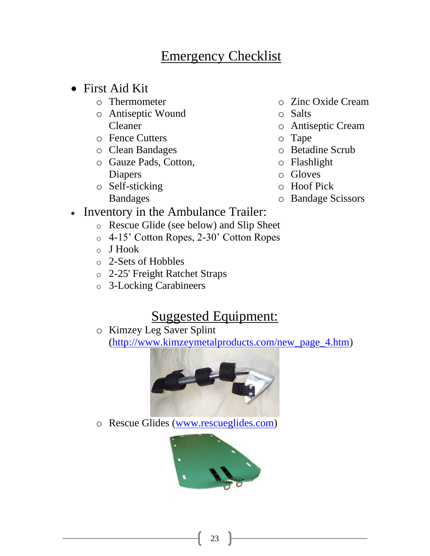### Emergency Checklist

- First Aid Kit
	- o Thermometer
	- o Antiseptic Wound Cleaner
	- o Fence Cutters
	- o Clean Bandages
	- o Gauze Pads, Cotton, Diapers
	- o Self-sticking Bandages
- o Zinc Oxide Cream
- o Salts
- o Antiseptic Cream
- o Tape
- o Betadine Scrub
- o Flashlight
- o Gloves
- o Hoof Pick
- o Bandage Scissors
- Inventory in the Ambulance Trailer:
	- o Rescue Glide (see below) and Slip Sheet
	- o 4-15' Cotton Ropes, 2-30' Cotton Ropes
	- o J Hook
	- o 2-Sets of Hobbles
	- o 2-25' Freight Ratchet Straps
	- o 3-Locking Carabineers

### Suggested Equipment:

o Kimzey Leg Saver Splint

[\(http://www.kimzeymetalproducts.com/new\\_page\\_4.htm\)](http://www.kimzeymetalproducts.com/new_page_4.htm)



o Rescue Glides [\(www.rescueglides.com\)](http://www.rescueglides.com/)

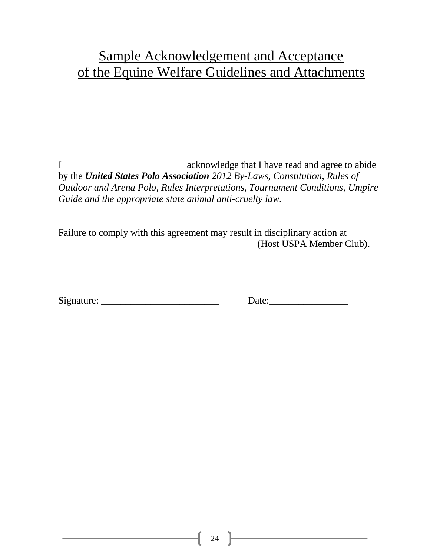### Sample Acknowledgement and Acceptance of the Equine Welfare Guidelines and Attachments

I \_\_\_\_\_\_\_\_\_\_\_\_\_\_\_\_\_\_\_\_\_\_\_\_ acknowledge that I have read and agree to abide by the *United States Polo Association 2012 By-Laws, Constitution, Rules of Outdoor and Arena Polo, Rules Interpretations, Tournament Conditions, Umpire Guide and the appropriate state animal anti-cruelty law.*

Failure to comply with this agreement may result in disciplinary action at \_\_\_\_\_\_\_\_\_\_\_\_\_\_\_\_\_\_\_\_\_\_\_\_\_\_\_\_\_\_\_\_\_\_\_\_\_\_\_\_ (Host USPA Member Club).

| Signature: |  |
|------------|--|
|            |  |

Signature: \_\_\_\_\_\_\_\_\_\_\_\_\_\_\_\_\_\_\_\_\_\_\_\_ Date:\_\_\_\_\_\_\_\_\_\_\_\_\_\_\_\_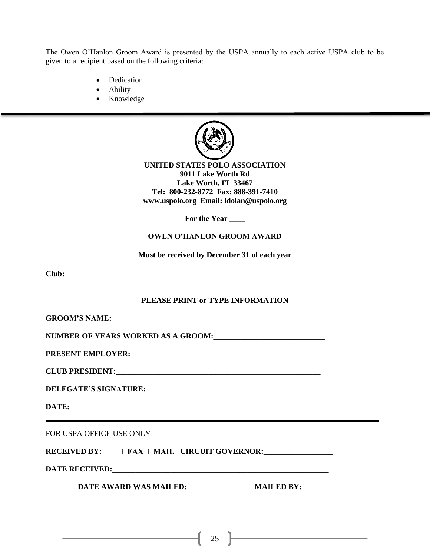The Owen O'Hanlon Groom Award is presented by the USPA annually to each active USPA club to be given to a recipient based on the following criteria:

- Dedication
- Ability
- Knowledge



**UNITED STATES POLO ASSOCIATION 9011 Lake Worth Rd Lake Worth, FL 33467 Tel: 800-232-8772 Fax: 888-391-7410 www.uspolo.org Email: ldolan@uspolo.org**

**For the Year \_\_\_\_**

#### **OWEN O'HANLON GROOM AWARD**

**Must be received by December 31 of each year**

**Club:\_\_\_\_\_\_\_\_\_\_\_\_\_\_\_\_\_\_\_\_\_\_\_\_\_\_\_\_\_\_\_\_\_\_\_\_\_\_\_\_\_\_\_\_\_\_\_\_\_\_\_\_\_\_\_\_\_\_\_\_\_\_\_\_\_\_**

#### **PLEASE PRINT or TYPE INFORMATION**

**GROOM'S NAME:\_\_\_\_\_\_\_\_\_\_\_\_\_\_\_\_\_\_\_\_\_\_\_\_\_\_\_\_\_\_\_\_\_\_\_\_\_\_\_\_\_\_\_\_\_\_\_\_\_\_\_\_\_\_\_**

**NUMBER OF YEARS WORKED AS A GROOM:\_\_\_\_\_\_\_\_\_\_\_\_\_\_\_\_\_\_\_\_\_\_\_\_\_\_\_\_\_**

**PRESENT EMPLOYER:\_\_\_\_\_\_\_\_\_\_\_\_\_\_\_\_\_\_\_\_\_\_\_\_\_\_\_\_\_\_\_\_\_\_\_\_\_\_\_\_\_\_\_\_\_\_\_\_\_\_**

**CLUB PRESIDENT:** 

**DELEGATE'S SIGNATURE:\_\_\_\_\_\_\_\_\_\_\_\_\_\_\_\_\_\_\_\_\_\_\_\_\_\_\_\_\_\_\_\_\_\_\_\_\_**

**DATE:\_\_\_\_\_\_\_\_\_**

FOR USPA OFFICE USE ONLY

**RECEIVED BY: CIRCUIT GOVERNOR:\_\_\_\_\_\_\_\_\_\_\_\_\_\_\_\_\_\_**

**DATE RECEIVED:\_\_\_\_\_\_\_\_\_\_\_\_\_\_\_\_\_\_\_\_\_\_\_\_\_\_\_\_\_\_\_\_\_\_\_\_\_\_\_\_\_\_\_\_\_\_\_\_\_\_\_\_\_\_\_\_**

**DATE AWARD WAS MAILED: MAILED BY:** 

<u> 1989 - Johann Barn, amerikansk politiker (</u>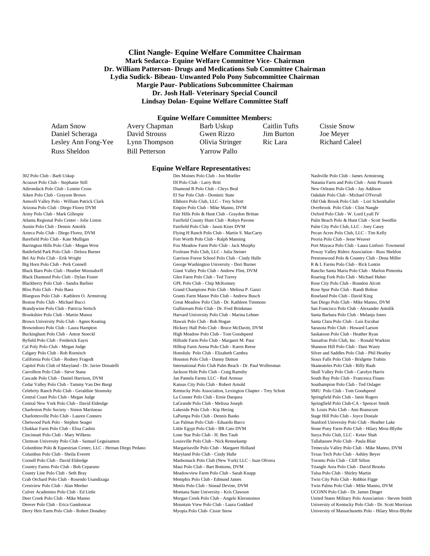#### **Clint Nangle- Equine Welfare Committee Chairman Mark Sedacca- Equine Welfare Committee Vice- Chairman Dr. William Patterson- Drugs and Medications Sub Committee Chairman Lydia Sudick- Bibeau- Unwanted Polo Pony Subcommittee Chairman Margie Paur- Publications Subcommittee Chairman Dr. Josh Hall- Veterinary Special Council Lindsay Dolan- Equine Welfare Committee Staff**

#### **Equine Welfare Committee Members:**

**Equine Welfare Representatives:**

Daniel Scheraga David Strouss Gwen Rizzo Jim Burton Joe Meyer Lesley Ann Fong-Yee Lynn Thompson Olivia Stringer Ric Lara Richard Caleel

Russ Sheldon Bill Petterson Yarrow Pallo

Adam Snow Avery Chapman Barb Uskup Caitlin Tufts Cissie Snow

302 Polo Club - Barb Uskup Des Moines Polo Club - Jon Moeller Nashville Polo Club - James Armstrong Des Moines Polo Club - Jon Moeller Acoaxet Polo Club - Stephanie Still **DI Polo Club - Larry Britt** Natania Farm and Polo Club - Amir Pirasteh Vero Beach Polo Club - Amir Pirasteh Vero Beach Polo Club - Amir Pirasteh Vero Beach Polo Club - Craig Polo Club -Adirondack Polo Club - Lonnie Cross Club - Chrys Beal New Orleans Polo Club - Jay Addison Victoria Polo Club - Jay Addison Victoria Polo Club - Jay Addison Victoria Polo Club - Jay Addison Victoria Polo Club - Michael Adel Aiken Polo Club - Grayson Brown **El Sur Polo Club - Dominic State** Oakdale Polo Club - Michael O'Ferrall Villages Polo Club - Michael O'Ferrall Villages Polo Club - Michael O'Ferrall Villages Polo Club - Michael O'Ferrall Amwell Valley Polo - William Patrick Clark Elkhorn Polo Club, LLC - Trey Schott Clark Clark Clark Elkhorn Polo Club - Lori Schenthaller Arizona Polo Club - Diego Florez DVM Empire Polo Club - Mike Manno, DVM Overbrook Polo Club - Clint Nangle Army Polo Club - Mark Gillespie Fair Hills Polo & Hunt Club - Graydon Brittan Oxford Polo Club - W. Lord Lyall IV Atlanta Regional Polo Center - Jolie Liston Fairfield County Hunt Club - Robyn Pavone Palm Beach Polo & Hunt Club - Scott Swedlin Austin Polo Club - Dennis Antolik Fairfield Polo Club - Jason Kiser DVM Palm City Polo Club, LLC - Joey Casey Azteca Polo Club - Diego Florez, DVM Flying H Ranch Polo Club - Martin S. MacCarty Pecan Acres Polo Club, LLC - Tim Kelly Barefield Polo Club - Kate Mulligan Fort Worth Polo Club - Ralph Manning Peoria Polo Club - Jesse Weaver Barrington Hills Polo Club - Megan West Fox Meadow Farm Polo Club - Jack Murphy Port Mayaca Polo Club - Laura Linfoot- Townsend Battlefield Park Polo Club - Delora Burner Foxlease Polo Club, LLC - Julia Steiner Poway Valley Riders Association - Russ Sheldon Bel Air Polo Club - Erik Wright Garrison Forest School Polo Club - Cindy Halle Prestonwood Polo & Country Club - Dena Miller Big Horn Polo Club - Perk Connell Connell George Washington University - Dori Burner R & L Farms Polo Club - Rick Lontin Value Polo & Equestrian Center - Liz Brayboy Center - Liz Brayboy Center - Liz Brayboy Center - Liz B Black Barn Polo Club - Heather Moossdorff Giant Giant Valley Polo Club - Andrew Flint, DVM Rancho Santa Maria Polo Club - Marlon Pimenita Black Diamond Polo Club - Dylan Foster Glen Farm Polo Club - Ted Torrey Roaring Fork Polo Club - Michael Huber Blackberry Polo Club - Sandra Barbier GPL Polo Club - Chip McKenney Rose City Polo Club - Brandon Alcott GPL Polo Club - Chip McKenney Bliss Polo Club - Polo Baez Grand Champions Polo Club - Melissa P. Ganzi Rose Spur Polo Club - Randi Bolton Bluegrass Polo Club - Kathleen O. Armstrong Grants Farm Manor Polo Club - Andrew Busch Roseland Polo Club - David King Boston Polo Club - Michael Bucci Great Meadow Polo Club - Dr. Kathleen Timmons San Diego Polo Club - Mike Manno, DVM Brandywine Polo Club - Patricia Sertich Gulfstream Polo Club - Dr. Fred Brinkman San Francisco Polo Club - Alexander Antolik Brookshire Polo Club - Martin Munoz **Harvard University Polo Club - Marina Lehner** Santa Barbara Polo Club - Melanja Jones Brown University Polo Club - Agnes Keating Hawaii Polo Club - Bob Hogan Santa Clara Polo Club - Luis Escobar Brownsboro Polo Club - Laura Hampton **Hickory Hall Polo Club - Bruce McDavitt**, DVM Sarasota Polo Club - Howard Larson Buckingham Polo Club - Anton Stoeckl **High Meadow Polo Club - Tom Goodspeed** Saskatoon Polo Club - Heather Ryan Byfield Polo Club - Frederick Eayrs Farm Polo Club - Margaret M. Paur Frederick Earn Polo Club, Inc. - Ronald Warkins Cal Poly Polo Club - Megan Judge Hilltop Farm Arena Polo Club - Karen Reese Shannon Hill Polo Club - Dani Wasty Calgary Polo Club - Rob Roenisch **Honolulu Polo Club - Elizabeth Cambra** Silver and Saddles Polo Club - Phil Heatley California Polo Club - Rodney Fragodt Houston Polo Club - Danny Dutton Sioux Falls Polo Club - Bridgette Trabits Capitol Polo Club of Maryland - Dr. Javier Donatelli **International Polo Club Palm Beach - Dr. Paul Wollenman** Skaneateles Polo Club - Billy Raab Carrollton Polo Club - Steve Stana Jackson Hole Polo Club - Craig Ramsby Skull Valley Polo Club - Carolyn Harris Cascade Polo Club - Daniel Harrison, DVM Jan Pamela Farms LLC - Red Armour South Bay Polo Club - Francesca Finato Cedar Valley Polo Club - Tammy Van Der Burgt Kansas City Polo Club - Robert Arnold Southampton Polo Club - Ted Oslager Celebrity Ranch Polo Club - Geraldine Strumsky Kentucky Polo Association, Lexington Chapter - Trey Schott SMU Polo Club - Tom Goodspeed Central Coast Polo Club - Megan Judge La Conner Polo Club - Ernie Darquea Springfield Polo Club - Janie Rogers Central New York Polo Club - David Eldredge LaGrande Polo Club - Melissa Joseph Springfield Polo Club-CA - Spencer Smith Charleston Polo Society - Simon Martineau 
Lakeside Polo Club - Kip Hering St. Louis Polo Club - Ann Branscum Charlottesville Polo Club - Lauren Conners LaPampa Polo Club - Dennis Banks Stage Hill Polo Club - Joyce Dostale Chetwood Park Polo - Stephen Seager Las Palmas Polo Club - Eduardo Barco Stanford University Polo Club - Heather Lake Chukkar Farm Polo Club - Elisa Cashin Little Egypt Polo Club - BR Cato DVM Stone Pony Farm Polo Club - Hilary Mroz-Blythe Cincinnati Polo Club - Mary Wilkens **Lone Star Polo Club - H. Ben Taub** Surya Polo Club, LLC - Ketav Shah Clemson University Polo Club - Samuel Leguisamon Louisville Polo Club - Nick Rennekamp Tallahassee Polo Club - Paula Blair Columbine Polo & Equestrian Center, LLC - Hernan Diego Pedano Margaritaville Polo Club - Margaret Holland Temecula Valley Polo Club - Mike Manno, DVM Columbus Polo Club - Sheila Everett Maryland Polo Club - Cindy Halle Texas Tech Polo Club - Ashley Beyer Cornell Polo Club - David Eldredge Mashomack Polo Club (New York) LLC - Juan Olivera Toronto Polo Club - Cliff Sifton Country Farms Polo Club - Bob Ceparano Maui Polo Club - Bart Bottoms, DVM Triangle Area Polo Club - David Brooks County Line Polo Club - Seth Bray Meadowview Farm Polo Club - Sarah Knapp Tulsa Polo Club - Shirley Martin Crab Orchard Polo Club - Rosendo Usandizaga Memphis Polo Club - Edmund James Twin City Polo Club - Robbin Figge Crestview Polo Club - Alan Meeker Menlo Polo Club - Sinead Devine, DVM Twin Palms Polo Club - Mike Manno, DVM Culver Academies Polo Club - Ed Little Montana State University - Kris Clawson UCONN Polo Club - Dr. James Dinger Deer Creek Polo Club - Mike Manno Morgan Creek Polo Club - Angelo Kleronomos United States Military Polo Association - Steven Smith Denver Polo Club - Erica Gandomcar Mountain View Polo Club - Laura Goddard University of Kentucky Polo Club - Dr. Scott Morrison Derry Heir Farm Polo Club - Robert Donahey Myopia Polo Club- Cissie Snow University of Massachusetts Polo - Hilary Mroz-Blythe